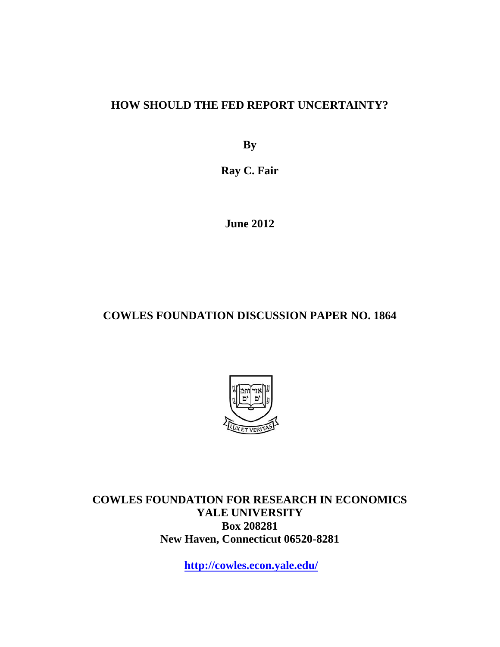# **HOW SHOULD THE FED REPORT UNCERTAINTY?**

**By** 

**Ray C. Fair** 

**June 2012** 

# **COWLES FOUNDATION DISCUSSION PAPER NO. 1864**



**COWLES FOUNDATION FOR RESEARCH IN ECONOMICS YALE UNIVERSITY Box 208281 New Haven, Connecticut 06520-8281** 

**http://cowles.econ.yale.edu/**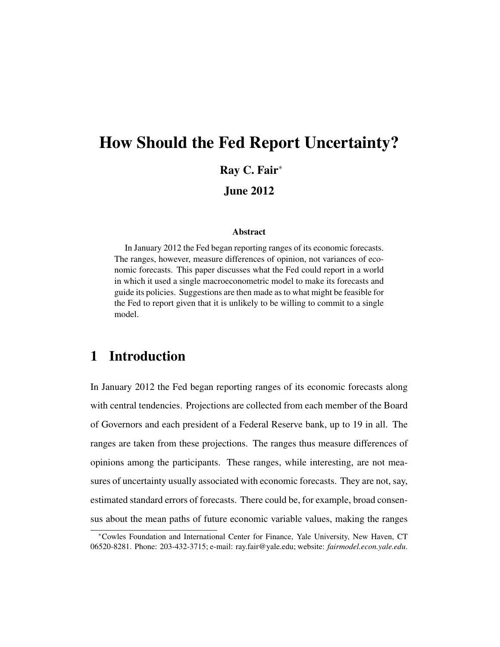# How Should the Fed Report Uncertainty? Ray C. Fair<sup>∗</sup> June 2012

#### Abstract

In January 2012 the Fed began reporting ranges of its economic forecasts. The ranges, however, measure differences of opinion, not variances of economic forecasts. This paper discusses what the Fed could report in a world in which it used a single macroeconometric model to make its forecasts and guide its policies. Suggestions are then made as to what might be feasible for the Fed to report given that it is unlikely to be willing to commit to a single model.

# 1 Introduction

In January 2012 the Fed began reporting ranges of its economic forecasts along with central tendencies. Projections are collected from each member of the Board of Governors and each president of a Federal Reserve bank, up to 19 in all. The ranges are taken from these projections. The ranges thus measure differences of opinions among the participants. These ranges, while interesting, are not measures of uncertainty usually associated with economic forecasts. They are not, say, estimated standard errors of forecasts. There could be, for example, broad consensus about the mean paths of future economic variable values, making the ranges

<sup>∗</sup>Cowles Foundation and International Center for Finance, Yale University, New Haven, CT 06520-8281. Phone: 203-432-3715; e-mail: ray.fair@yale.edu; website: *fairmodel.econ.yale.edu*.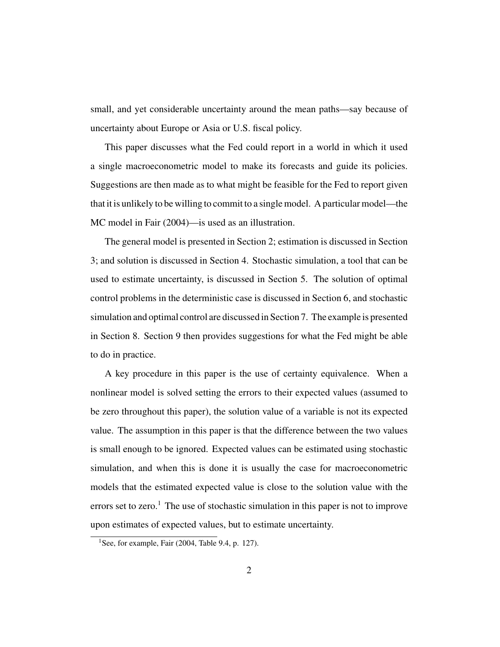small, and yet considerable uncertainty around the mean paths—say because of uncertainty about Europe or Asia or U.S. fiscal policy.

This paper discusses what the Fed could report in a world in which it used a single macroeconometric model to make its forecasts and guide its policies. Suggestions are then made as to what might be feasible for the Fed to report given that it is unlikely to be willing to commit to a single model. A particular model—the MC model in Fair (2004)—is used as an illustration.

The general model is presented in Section 2; estimation is discussed in Section 3; and solution is discussed in Section 4. Stochastic simulation, a tool that can be used to estimate uncertainty, is discussed in Section 5. The solution of optimal control problems in the deterministic case is discussed in Section 6, and stochastic simulation and optimal control are discussed in Section 7. The example is presented in Section 8. Section 9 then provides suggestions for what the Fed might be able to do in practice.

A key procedure in this paper is the use of certainty equivalence. When a nonlinear model is solved setting the errors to their expected values (assumed to be zero throughout this paper), the solution value of a variable is not its expected value. The assumption in this paper is that the difference between the two values is small enough to be ignored. Expected values can be estimated using stochastic simulation, and when this is done it is usually the case for macroeconometric models that the estimated expected value is close to the solution value with the errors set to zero.<sup>1</sup> The use of stochastic simulation in this paper is not to improve upon estimates of expected values, but to estimate uncertainty.

<sup>&</sup>lt;sup>1</sup>See, for example, Fair  $(2004, \text{Table 9.4}, p. 127)$ .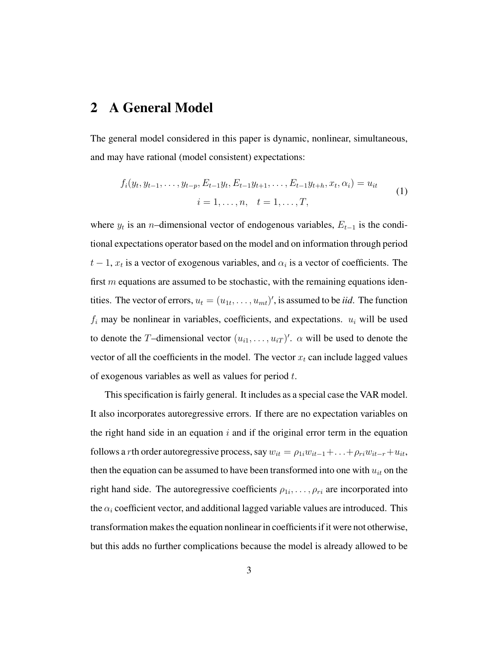# 2 A General Model

The general model considered in this paper is dynamic, nonlinear, simultaneous, and may have rational (model consistent) expectations:

$$
f_i(y_t, y_{t-1}, \dots, y_{t-p}, E_{t-1}y_t, E_{t-1}y_{t+1}, \dots, E_{t-1}y_{t+h}, x_t, \alpha_i) = u_{it}
$$
  
\n
$$
i = 1, \dots, n, \quad t = 1, \dots, T,
$$
\n(1)

where  $y_t$  is an n–dimensional vector of endogenous variables,  $E_{t-1}$  is the conditional expectations operator based on the model and on information through period  $t-1$ ,  $x_t$  is a vector of exogenous variables, and  $\alpha_i$  is a vector of coefficients. The first  $m$  equations are assumed to be stochastic, with the remaining equations identities. The vector of errors,  $u_t = (u_{1t}, \dots, u_{mt})'$ , is assumed to be *iid*. The function  $f_i$  may be nonlinear in variables, coefficients, and expectations.  $u_i$  will be used to denote the T-dimensional vector  $(u_{i1},...,u_{iT})'$ .  $\alpha$  will be used to denote the vector of all the coefficients in the model. The vector  $x_t$  can include lagged values of exogenous variables as well as values for period t.

This specification is fairly general. It includes as a special case the VAR model. It also incorporates autoregressive errors. If there are no expectation variables on the right hand side in an equation  $i$  and if the original error term in the equation follows a rth order autoregressive process, say  $w_{it} = \rho_{1i}w_{it-1} + \ldots + \rho_{ri}w_{it-r} + u_{it}$ , then the equation can be assumed to have been transformed into one with  $u_{it}$  on the right hand side. The autoregressive coefficients  $\rho_{1i}, \ldots, \rho_{ri}$  are incorporated into the  $\alpha_i$  coefficient vector, and additional lagged variable values are introduced. This transformation makes the equation nonlinear in coefficients if it were not otherwise, but this adds no further complications because the model is already allowed to be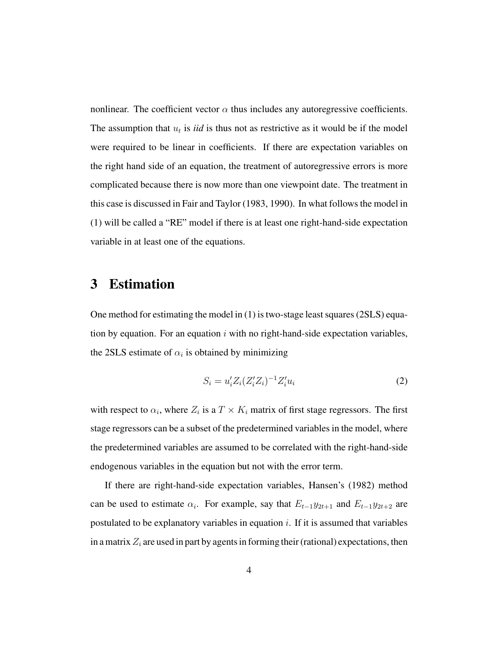nonlinear. The coefficient vector  $\alpha$  thus includes any autoregressive coefficients. The assumption that  $u_t$  is *iid* is thus not as restrictive as it would be if the model were required to be linear in coefficients. If there are expectation variables on the right hand side of an equation, the treatment of autoregressive errors is more complicated because there is now more than one viewpoint date. The treatment in this case is discussed in Fair and Taylor (1983, 1990). In what follows the model in (1) will be called a "RE" model if there is at least one right-hand-side expectation variable in at least one of the equations.

# 3 Estimation

One method for estimating the model in  $(1)$  is two-stage least squares  $(2SLS)$  equation by equation. For an equation  $i$  with no right-hand-side expectation variables, the 2SLS estimate of  $\alpha_i$  is obtained by minimizing

$$
S_i = u_i' Z_i (Z_i' Z_i)^{-1} Z_i' u_i \tag{2}
$$

with respect to  $\alpha_i$ , where  $Z_i$  is a  $T \times K_i$  matrix of first stage regressors. The first stage regressors can be a subset of the predetermined variables in the model, where the predetermined variables are assumed to be correlated with the right-hand-side endogenous variables in the equation but not with the error term.

If there are right-hand-side expectation variables, Hansen's (1982) method can be used to estimate  $\alpha_i$ . For example, say that  $E_{t-1}y_{2t+1}$  and  $E_{t-1}y_{2t+2}$  are postulated to be explanatory variables in equation  $i$ . If it is assumed that variables in a matrix  $Z_i$  are used in part by agents in forming their (rational) expectations, then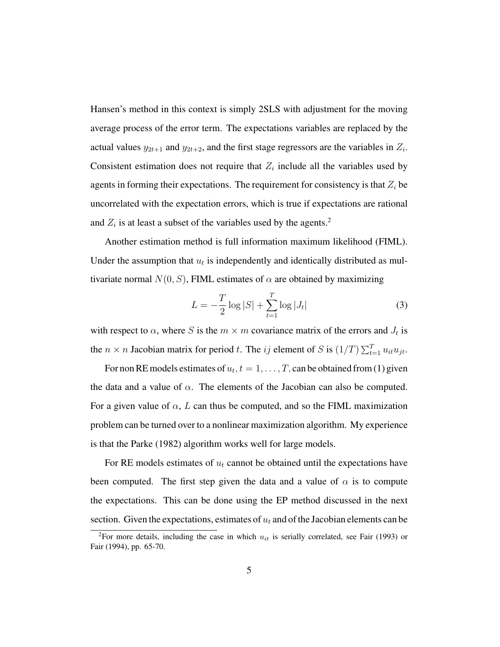Hansen's method in this context is simply 2SLS with adjustment for the moving average process of the error term. The expectations variables are replaced by the actual values  $y_{2t+1}$  and  $y_{2t+2}$ , and the first stage regressors are the variables in  $Z_i$ . Consistent estimation does not require that  $Z_i$  include all the variables used by agents in forming their expectations. The requirement for consistency is that  $Z_i$  be uncorrelated with the expectation errors, which is true if expectations are rational and  $Z_i$  is at least a subset of the variables used by the agents.<sup>2</sup>

Another estimation method is full information maximum likelihood (FIML). Under the assumption that  $u_t$  is independently and identically distributed as multivariate normal  $N(0, S)$ , FIML estimates of  $\alpha$  are obtained by maximizing

$$
L = -\frac{T}{2}\log|S| + \sum_{t=1}^{T}\log|J_t|
$$
 (3)

with respect to  $\alpha$ , where S is the  $m \times m$  covariance matrix of the errors and  $J_t$  is the  $n \times n$  Jacobian matrix for period t. The ij element of S is  $(1/T) \sum_{t=1}^{T} u_{it} u_{jt}$ .

For non RE models estimates of  $u_t$ ,  $t = 1, \ldots, T$ , can be obtained from (1) given the data and a value of  $\alpha$ . The elements of the Jacobian can also be computed. For a given value of  $\alpha$ , L can thus be computed, and so the FIML maximization problem can be turned over to a nonlinear maximization algorithm. My experience is that the Parke (1982) algorithm works well for large models.

For RE models estimates of  $u_t$  cannot be obtained until the expectations have been computed. The first step given the data and a value of  $\alpha$  is to compute the expectations. This can be done using the EP method discussed in the next section. Given the expectations, estimates of  $u_t$  and of the Jacobian elements can be

<sup>&</sup>lt;sup>2</sup>For more details, including the case in which  $u_{it}$  is serially correlated, see Fair (1993) or Fair (1994), pp. 65-70.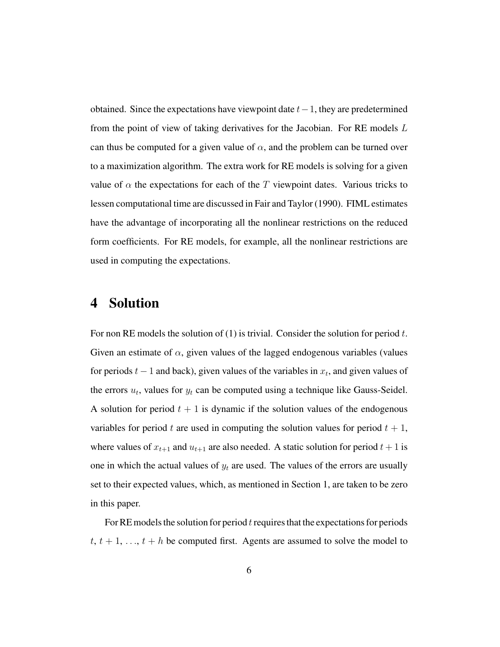obtained. Since the expectations have viewpoint date  $t-1$ , they are predetermined from the point of view of taking derivatives for the Jacobian. For RE models L can thus be computed for a given value of  $\alpha$ , and the problem can be turned over to a maximization algorithm. The extra work for RE models is solving for a given value of  $\alpha$  the expectations for each of the T viewpoint dates. Various tricks to lessen computational time are discussed in Fair and Taylor (1990). FIML estimates have the advantage of incorporating all the nonlinear restrictions on the reduced form coefficients. For RE models, for example, all the nonlinear restrictions are used in computing the expectations.

### 4 Solution

For non RE models the solution of (1) is trivial. Consider the solution for period  $t$ . Given an estimate of  $\alpha$ , given values of the lagged endogenous variables (values for periods  $t - 1$  and back), given values of the variables in  $x_t$ , and given values of the errors  $u_t$ , values for  $y_t$  can be computed using a technique like Gauss-Seidel. A solution for period  $t + 1$  is dynamic if the solution values of the endogenous variables for period t are used in computing the solution values for period  $t + 1$ , where values of  $x_{t+1}$  and  $u_{t+1}$  are also needed. A static solution for period  $t+1$  is one in which the actual values of  $y_t$  are used. The values of the errors are usually set to their expected values, which, as mentioned in Section 1, are taken to be zero in this paper.

For RE models the solution for period  $t$  requires that the expectations for periods  $t, t + 1, \ldots, t + h$  be computed first. Agents are assumed to solve the model to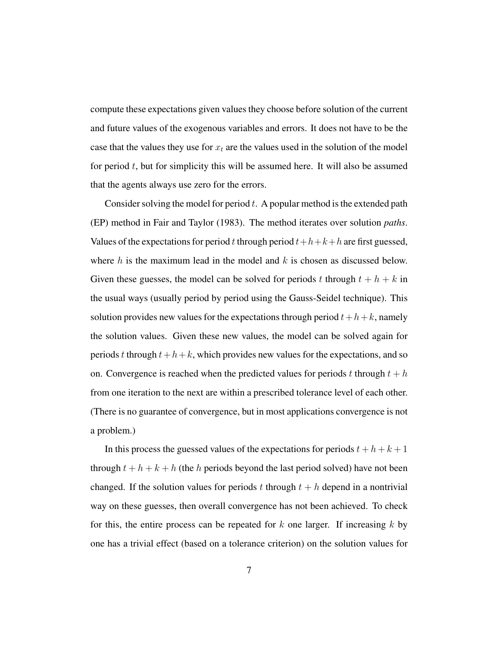compute these expectations given values they choose before solution of the current and future values of the exogenous variables and errors. It does not have to be the case that the values they use for  $x_t$  are the values used in the solution of the model for period  $t$ , but for simplicity this will be assumed here. It will also be assumed that the agents always use zero for the errors.

Consider solving the model for period  $t$ . A popular method is the extended path (EP) method in Fair and Taylor (1983). The method iterates over solution *paths*. Values of the expectations for period t through period  $t+h+k+h$  are first guessed, where  $h$  is the maximum lead in the model and  $k$  is chosen as discussed below. Given these guesses, the model can be solved for periods t through  $t + h + k$  in the usual ways (usually period by period using the Gauss-Seidel technique). This solution provides new values for the expectations through period  $t+h+k$ , namely the solution values. Given these new values, the model can be solved again for periods t through  $t+h+k$ , which provides new values for the expectations, and so on. Convergence is reached when the predicted values for periods t through  $t + h$ from one iteration to the next are within a prescribed tolerance level of each other. (There is no guarantee of convergence, but in most applications convergence is not a problem.)

In this process the guessed values of the expectations for periods  $t + h + k + 1$ through  $t + h + k + h$  (the h periods beyond the last period solved) have not been changed. If the solution values for periods t through  $t + h$  depend in a nontrivial way on these guesses, then overall convergence has not been achieved. To check for this, the entire process can be repeated for  $k$  one larger. If increasing  $k$  by one has a trivial effect (based on a tolerance criterion) on the solution values for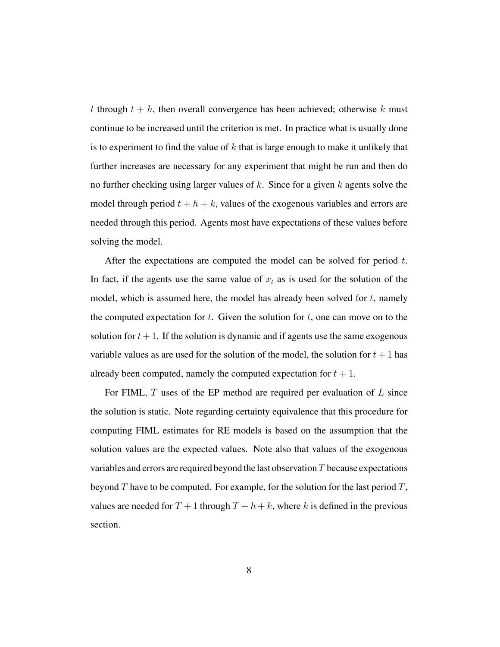t through  $t + h$ , then overall convergence has been achieved; otherwise k must continue to be increased until the criterion is met. In practice what is usually done is to experiment to find the value of  $k$  that is large enough to make it unlikely that further increases are necessary for any experiment that might be run and then do no further checking using larger values of  $k$ . Since for a given  $k$  agents solve the model through period  $t + h + k$ , values of the exogenous variables and errors are needed through this period. Agents most have expectations of these values before solving the model.

After the expectations are computed the model can be solved for period  $t$ . In fact, if the agents use the same value of  $x_t$  as is used for the solution of the model, which is assumed here, the model has already been solved for  $t$ , namely the computed expectation for  $t$ . Given the solution for  $t$ , one can move on to the solution for  $t + 1$ . If the solution is dynamic and if agents use the same exogenous variable values as are used for the solution of the model, the solution for  $t + 1$  has already been computed, namely the computed expectation for  $t + 1$ .

For FIML,  $T$  uses of the EP method are required per evaluation of  $L$  since the solution is static. Note regarding certainty equivalence that this procedure for computing FIML estimates for RE models is based on the assumption that the solution values are the expected values. Note also that values of the exogenous variables and errors are required beyond the last observation  $T$  because expectations beyond T have to be computed. For example, for the solution for the last period  $T$ , values are needed for  $T + 1$  through  $T + h + k$ , where k is defined in the previous section.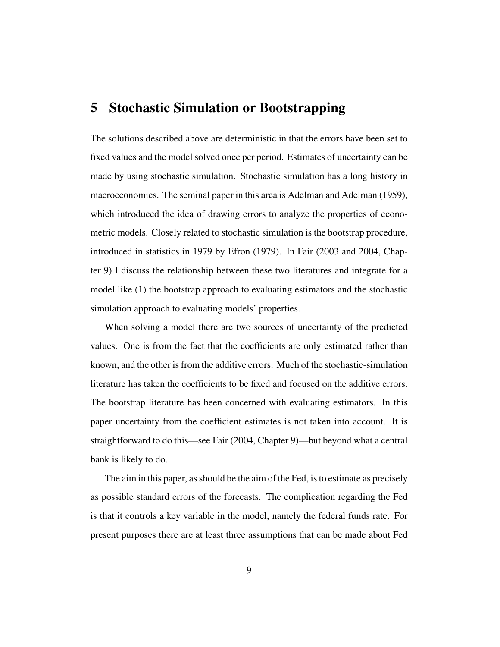### 5 Stochastic Simulation or Bootstrapping

The solutions described above are deterministic in that the errors have been set to fixed values and the model solved once per period. Estimates of uncertainty can be made by using stochastic simulation. Stochastic simulation has a long history in macroeconomics. The seminal paper in this area is Adelman and Adelman (1959), which introduced the idea of drawing errors to analyze the properties of econometric models. Closely related to stochastic simulation is the bootstrap procedure, introduced in statistics in 1979 by Efron (1979). In Fair (2003 and 2004, Chapter 9) I discuss the relationship between these two literatures and integrate for a model like (1) the bootstrap approach to evaluating estimators and the stochastic simulation approach to evaluating models' properties.

When solving a model there are two sources of uncertainty of the predicted values. One is from the fact that the coefficients are only estimated rather than known, and the other is from the additive errors. Much of the stochastic-simulation literature has taken the coefficients to be fixed and focused on the additive errors. The bootstrap literature has been concerned with evaluating estimators. In this paper uncertainty from the coefficient estimates is not taken into account. It is straightforward to do this—see Fair (2004, Chapter 9)—but beyond what a central bank is likely to do.

The aim in this paper, as should be the aim of the Fed, is to estimate as precisely as possible standard errors of the forecasts. The complication regarding the Fed is that it controls a key variable in the model, namely the federal funds rate. For present purposes there are at least three assumptions that can be made about Fed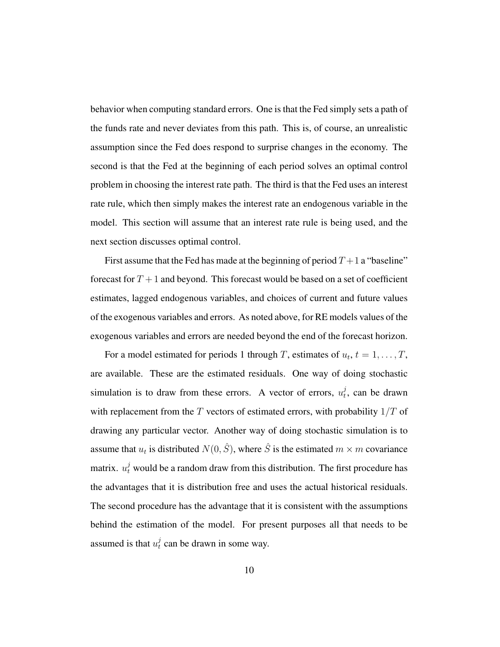behavior when computing standard errors. One is that the Fed simply sets a path of the funds rate and never deviates from this path. This is, of course, an unrealistic assumption since the Fed does respond to surprise changes in the economy. The second is that the Fed at the beginning of each period solves an optimal control problem in choosing the interest rate path. The third is that the Fed uses an interest rate rule, which then simply makes the interest rate an endogenous variable in the model. This section will assume that an interest rate rule is being used, and the next section discusses optimal control.

First assume that the Fed has made at the beginning of period  $T+1$  a "baseline" forecast for  $T + 1$  and beyond. This forecast would be based on a set of coefficient estimates, lagged endogenous variables, and choices of current and future values of the exogenous variables and errors. As noted above, for RE models values of the exogenous variables and errors are needed beyond the end of the forecast horizon.

For a model estimated for periods 1 through T, estimates of  $u_t$ ,  $t = 1, \ldots, T$ , are available. These are the estimated residuals. One way of doing stochastic simulation is to draw from these errors. A vector of errors,  $u_t^j$  $t<sub>t</sub>$ , can be drawn with replacement from the  $T$  vectors of estimated errors, with probability  $1/T$  of drawing any particular vector. Another way of doing stochastic simulation is to assume that  $u_t$  is distributed  $N(0, \hat{S})$ , where  $\hat{S}$  is the estimated  $m \times m$  covariance matrix.  $u_t^j$  would be a random draw from this distribution. The first procedure has the advantages that it is distribution free and uses the actual historical residuals. The second procedure has the advantage that it is consistent with the assumptions behind the estimation of the model. For present purposes all that needs to be assumed is that  $u_t^j$  can be drawn in some way.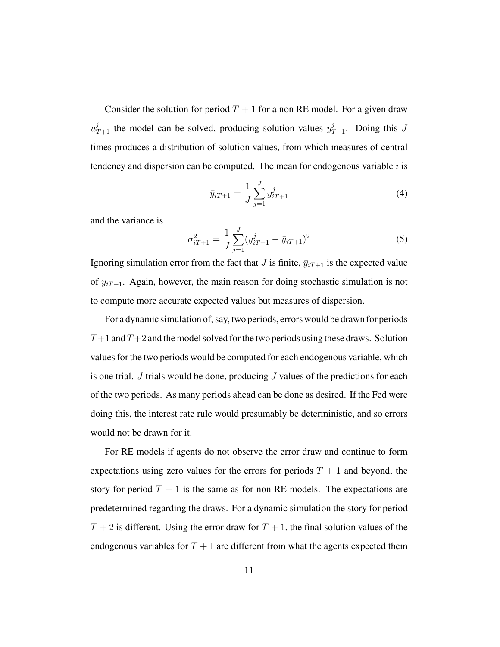Consider the solution for period  $T + 1$  for a non RE model. For a given draw  $u_{T+1}^j$  the model can be solved, producing solution values  $y_{T+1}^j$ . Doing this J times produces a distribution of solution values, from which measures of central tendency and dispersion can be computed. The mean for endogenous variable  $i$  is

$$
\bar{y}_{iT+1} = \frac{1}{J} \sum_{j=1}^{J} y_{iT+1}^j
$$
\n(4)

and the variance is

$$
\sigma_{iT+1}^2 = \frac{1}{J} \sum_{j=1}^{J} (y_{iT+1}^j - \bar{y}_{iT+1})^2
$$
\n(5)

Ignoring simulation error from the fact that J is finite,  $\bar{y}_{iT+1}$  is the expected value of  $y_{iT+1}$ . Again, however, the main reason for doing stochastic simulation is not to compute more accurate expected values but measures of dispersion.

For a dynamic simulation of, say, two periods, errors would be drawn for periods  $T+1$  and  $T+2$  and the model solved for the two periods using these draws. Solution values for the two periods would be computed for each endogenous variable, which is one trial. J trials would be done, producing  $J$  values of the predictions for each of the two periods. As many periods ahead can be done as desired. If the Fed were doing this, the interest rate rule would presumably be deterministic, and so errors would not be drawn for it.

For RE models if agents do not observe the error draw and continue to form expectations using zero values for the errors for periods  $T + 1$  and beyond, the story for period  $T + 1$  is the same as for non RE models. The expectations are predetermined regarding the draws. For a dynamic simulation the story for period  $T + 2$  is different. Using the error draw for  $T + 1$ , the final solution values of the endogenous variables for  $T + 1$  are different from what the agents expected them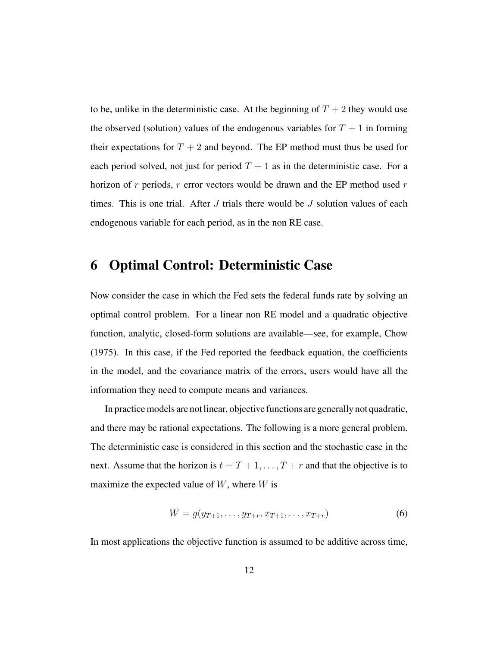to be, unlike in the deterministic case. At the beginning of  $T + 2$  they would use the observed (solution) values of the endogenous variables for  $T + 1$  in forming their expectations for  $T + 2$  and beyond. The EP method must thus be used for each period solved, not just for period  $T + 1$  as in the deterministic case. For a horizon of r periods, r error vectors would be drawn and the EP method used  $r$ times. This is one trial. After  $J$  trials there would be  $J$  solution values of each endogenous variable for each period, as in the non RE case.

### 6 Optimal Control: Deterministic Case

Now consider the case in which the Fed sets the federal funds rate by solving an optimal control problem. For a linear non RE model and a quadratic objective function, analytic, closed-form solutions are available—see, for example, Chow (1975). In this case, if the Fed reported the feedback equation, the coefficients in the model, and the covariance matrix of the errors, users would have all the information they need to compute means and variances.

In practice models are not linear, objective functions are generally not quadratic, and there may be rational expectations. The following is a more general problem. The deterministic case is considered in this section and the stochastic case in the next. Assume that the horizon is  $t = T + 1, \ldots, T + r$  and that the objective is to maximize the expected value of  $W$ , where  $W$  is

$$
W = g(y_{T+1}, \dots, y_{T+r}, x_{T+1}, \dots, x_{T+r})
$$
\n<sup>(6)</sup>

In most applications the objective function is assumed to be additive across time,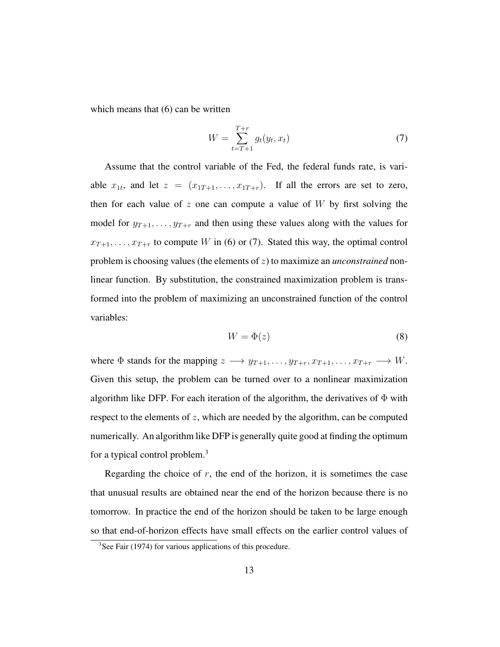which means that (6) can be written

$$
W = \sum_{t=T+1}^{T+r} g_t(y_t, x_t)
$$
\n(7)

Assume that the control variable of the Fed, the federal funds rate, is variable  $x_{1t}$ , and let  $z = (x_{1T+1}, \ldots, x_{1T+r})$ . If all the errors are set to zero, then for each value of  $z$  one can compute a value of  $W$  by first solving the model for  $y_{T+1}, \ldots, y_{T+r}$  and then using these values along with the values for  $x_{T+1}, \ldots, x_{T+r}$  to compute W in (6) or (7). Stated this way, the optimal control problem is choosing values (the elements of z) to maximize an *unconstrained* nonlinear function. By substitution, the constrained maximization problem is transformed into the problem of maximizing an unconstrained function of the control variables:

$$
W = \Phi(z) \tag{8}
$$

where  $\Phi$  stands for the mapping  $z \longrightarrow y_{T+1}, \ldots, y_{T+r}, x_{T+1}, \ldots, x_{T+r} \longrightarrow W$ . Given this setup, the problem can be turned over to a nonlinear maximization algorithm like DFP. For each iteration of the algorithm, the derivatives of  $\Phi$  with respect to the elements of  $z$ , which are needed by the algorithm, can be computed numerically. An algorithm like DFP is generally quite good at finding the optimum for a typical control problem.<sup>3</sup>

Regarding the choice of  $r$ , the end of the horizon, it is sometimes the case that unusual results are obtained near the end of the horizon because there is no tomorrow. In practice the end of the horizon should be taken to be large enough so that end-of-horizon effects have small effects on the earlier control values of

<sup>&</sup>lt;sup>3</sup>See Fair (1974) for various applications of this procedure.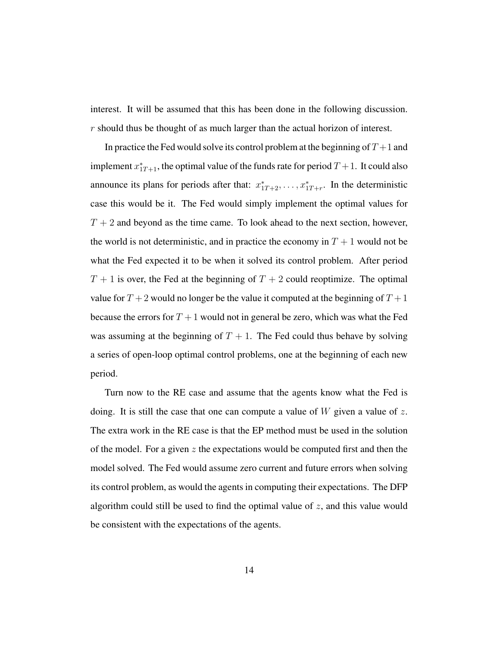interest. It will be assumed that this has been done in the following discussion. r should thus be thought of as much larger than the actual horizon of interest.

In practice the Fed would solve its control problem at the beginning of  $T+1$  and implement  $x_{1T+1}^*$ , the optimal value of the funds rate for period  $T+1$ . It could also announce its plans for periods after that:  $x_{1T+2}^*$ , ...,  $x_{1T+r}^*$ . In the deterministic case this would be it. The Fed would simply implement the optimal values for  $T + 2$  and beyond as the time came. To look ahead to the next section, however, the world is not deterministic, and in practice the economy in  $T + 1$  would not be what the Fed expected it to be when it solved its control problem. After period  $T + 1$  is over, the Fed at the beginning of  $T + 2$  could reoptimize. The optimal value for  $T + 2$  would no longer be the value it computed at the beginning of  $T + 1$ because the errors for  $T + 1$  would not in general be zero, which was what the Fed was assuming at the beginning of  $T + 1$ . The Fed could thus behave by solving a series of open-loop optimal control problems, one at the beginning of each new period.

Turn now to the RE case and assume that the agents know what the Fed is doing. It is still the case that one can compute a value of W given a value of  $z$ . The extra work in the RE case is that the EP method must be used in the solution of the model. For a given z the expectations would be computed first and then the model solved. The Fed would assume zero current and future errors when solving its control problem, as would the agents in computing their expectations. The DFP algorithm could still be used to find the optimal value of  $z$ , and this value would be consistent with the expectations of the agents.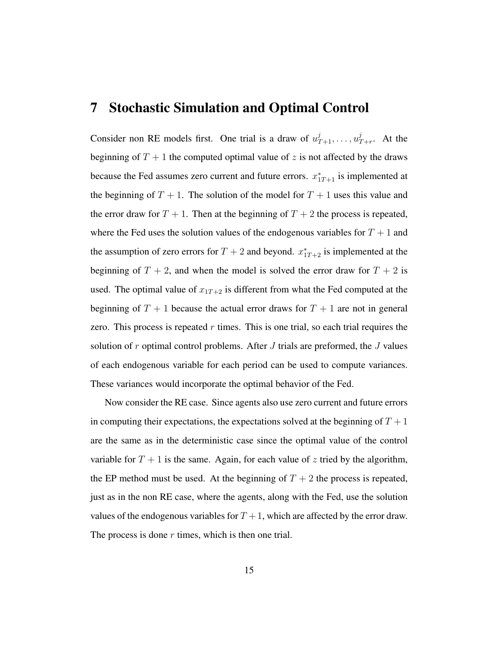#### 7 Stochastic Simulation and Optimal Control

Consider non RE models first. One trial is a draw of  $u^j_{T+1}, \ldots, u^j_T$  $T+r$ . At the beginning of  $T + 1$  the computed optimal value of z is not affected by the draws because the Fed assumes zero current and future errors.  $x_{1T+1}^*$  is implemented at the beginning of  $T + 1$ . The solution of the model for  $T + 1$  uses this value and the error draw for  $T + 1$ . Then at the beginning of  $T + 2$  the process is repeated, where the Fed uses the solution values of the endogenous variables for  $T + 1$  and the assumption of zero errors for  $T + 2$  and beyond.  $x_{1T+2}^*$  is implemented at the beginning of  $T + 2$ , and when the model is solved the error draw for  $T + 2$  is used. The optimal value of  $x_{1T+2}$  is different from what the Fed computed at the beginning of  $T + 1$  because the actual error draws for  $T + 1$  are not in general zero. This process is repeated  $r$  times. This is one trial, so each trial requires the solution of r optimal control problems. After  $J$  trials are preformed, the  $J$  values of each endogenous variable for each period can be used to compute variances. These variances would incorporate the optimal behavior of the Fed.

Now consider the RE case. Since agents also use zero current and future errors in computing their expectations, the expectations solved at the beginning of  $T + 1$ are the same as in the deterministic case since the optimal value of the control variable for  $T + 1$  is the same. Again, for each value of z tried by the algorithm, the EP method must be used. At the beginning of  $T + 2$  the process is repeated, just as in the non RE case, where the agents, along with the Fed, use the solution values of the endogenous variables for  $T + 1$ , which are affected by the error draw. The process is done  $r$  times, which is then one trial.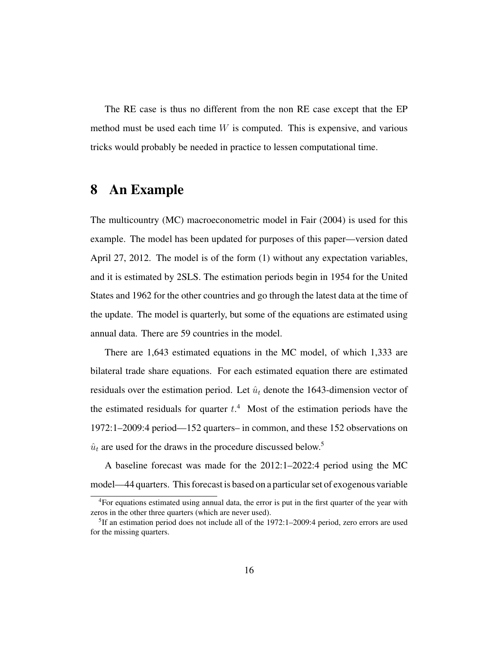The RE case is thus no different from the non RE case except that the EP method must be used each time  $W$  is computed. This is expensive, and various tricks would probably be needed in practice to lessen computational time.

### 8 An Example

The multicountry (MC) macroeconometric model in Fair (2004) is used for this example. The model has been updated for purposes of this paper—version dated April 27, 2012. The model is of the form (1) without any expectation variables, and it is estimated by 2SLS. The estimation periods begin in 1954 for the United States and 1962 for the other countries and go through the latest data at the time of the update. The model is quarterly, but some of the equations are estimated using annual data. There are 59 countries in the model.

There are 1,643 estimated equations in the MC model, of which 1,333 are bilateral trade share equations. For each estimated equation there are estimated residuals over the estimation period. Let  $\hat{u}_t$  denote the 1643-dimension vector of the estimated residuals for quarter  $t^4$ . Most of the estimation periods have the 1972:1–2009:4 period—152 quarters– in common, and these 152 observations on  $\hat{u}_t$  are used for the draws in the procedure discussed below.<sup>5</sup>

A baseline forecast was made for the 2012:1–2022:4 period using the MC model—44 quarters. This forecast is based on a particular set of exogenous variable

<sup>4</sup>For equations estimated using annual data, the error is put in the first quarter of the year with zeros in the other three quarters (which are never used).

<sup>&</sup>lt;sup>5</sup>If an estimation period does not include all of the 1972:1-2009:4 period, zero errors are used for the missing quarters.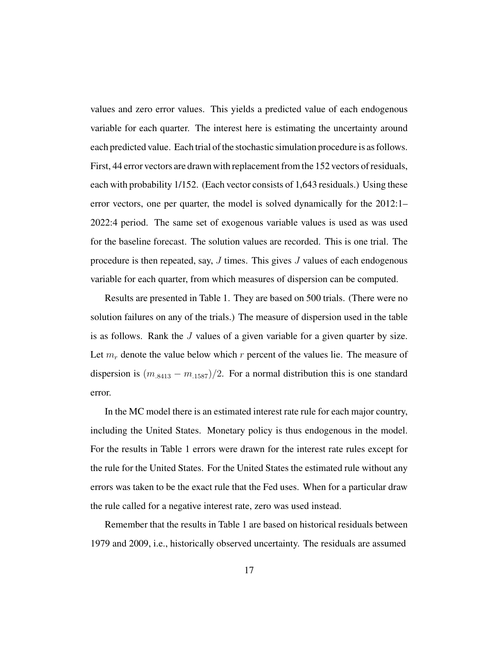values and zero error values. This yields a predicted value of each endogenous variable for each quarter. The interest here is estimating the uncertainty around each predicted value. Each trial of the stochastic simulation procedure is as follows. First, 44 error vectors are drawn with replacement from the 152 vectors of residuals, each with probability 1/152. (Each vector consists of 1,643 residuals.) Using these error vectors, one per quarter, the model is solved dynamically for the 2012:1– 2022:4 period. The same set of exogenous variable values is used as was used for the baseline forecast. The solution values are recorded. This is one trial. The procedure is then repeated, say,  $J$  times. This gives  $J$  values of each endogenous variable for each quarter, from which measures of dispersion can be computed.

Results are presented in Table 1. They are based on 500 trials. (There were no solution failures on any of the trials.) The measure of dispersion used in the table is as follows. Rank the  $J$  values of a given variable for a given quarter by size. Let  $m_r$  denote the value below which r percent of the values lie. The measure of dispersion is  $(m_{.8413} - m_{.1587})/2$ . For a normal distribution this is one standard error.

In the MC model there is an estimated interest rate rule for each major country, including the United States. Monetary policy is thus endogenous in the model. For the results in Table 1 errors were drawn for the interest rate rules except for the rule for the United States. For the United States the estimated rule without any errors was taken to be the exact rule that the Fed uses. When for a particular draw the rule called for a negative interest rate, zero was used instead.

Remember that the results in Table 1 are based on historical residuals between 1979 and 2009, i.e., historically observed uncertainty. The residuals are assumed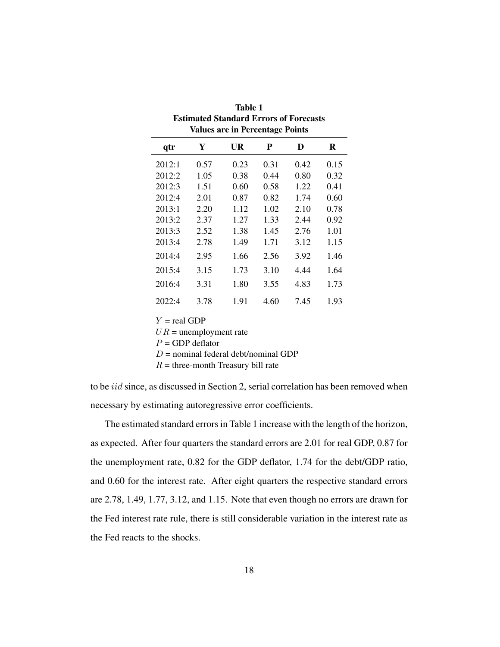| Values are in Percentage Points |      |      |      |      |      |
|---------------------------------|------|------|------|------|------|
| qtr                             | Y    | UR   | P    | D    | R    |
| 2012:1                          | 0.57 | 0.23 | 0.31 | 0.42 | 0.15 |
| 2012:2                          | 1.05 | 0.38 | 0.44 | 0.80 | 0.32 |
| 2012:3                          | 1.51 | 0.60 | 0.58 | 1.22 | 0.41 |
| 2012:4                          | 2.01 | 0.87 | 0.82 | 1.74 | 0.60 |
| 2013:1                          | 2.20 | 1.12 | 1.02 | 2.10 | 0.78 |
| 2013:2                          | 2.37 | 1.27 | 1.33 | 2.44 | 0.92 |
| 2013:3                          | 2.52 | 1.38 | 1.45 | 2.76 | 1.01 |
| 2013:4                          | 2.78 | 1.49 | 1.71 | 3.12 | 1.15 |
| 2014:4                          | 2.95 | 1.66 | 2.56 | 3.92 | 1.46 |
| 2015:4                          | 3.15 | 1.73 | 3.10 | 4.44 | 1.64 |
| 2016:4                          | 3.31 | 1.80 | 3.55 | 4.83 | 1.73 |
| 2022:4                          | 3.78 | 1.91 | 4.60 | 7.45 | 1.93 |

Table 1 Estimated Standard Errors of Forecasts Values are in Percentage Points

 $Y = \text{real GDP}$ 

 $UR =$  unemployment rate

 $P =$  GDP deflator

 $D =$  nominal federal debt/nominal GDP

 $R =$  three-month Treasury bill rate

to be iid since, as discussed in Section 2, serial correlation has been removed when necessary by estimating autoregressive error coefficients.

The estimated standard errors in Table 1 increase with the length of the horizon, as expected. After four quarters the standard errors are 2.01 for real GDP, 0.87 for the unemployment rate, 0.82 for the GDP deflator, 1.74 for the debt/GDP ratio, and 0.60 for the interest rate. After eight quarters the respective standard errors are 2.78, 1.49, 1.77, 3.12, and 1.15. Note that even though no errors are drawn for the Fed interest rate rule, there is still considerable variation in the interest rate as the Fed reacts to the shocks.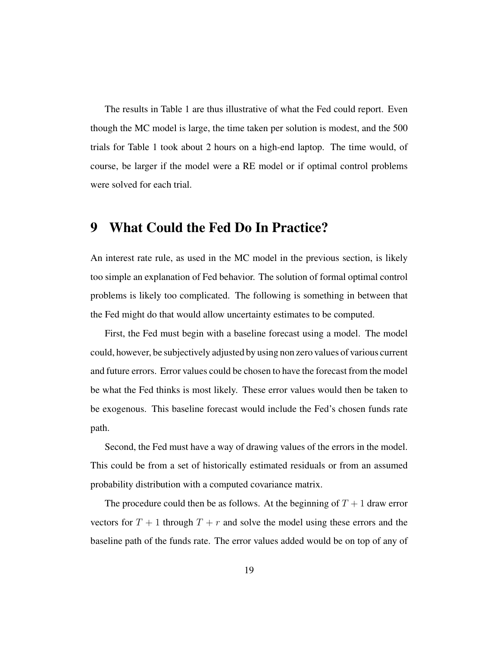The results in Table 1 are thus illustrative of what the Fed could report. Even though the MC model is large, the time taken per solution is modest, and the 500 trials for Table 1 took about 2 hours on a high-end laptop. The time would, of course, be larger if the model were a RE model or if optimal control problems were solved for each trial.

# 9 What Could the Fed Do In Practice?

An interest rate rule, as used in the MC model in the previous section, is likely too simple an explanation of Fed behavior. The solution of formal optimal control problems is likely too complicated. The following is something in between that the Fed might do that would allow uncertainty estimates to be computed.

First, the Fed must begin with a baseline forecast using a model. The model could, however, be subjectively adjusted by using non zero values of various current and future errors. Error values could be chosen to have the forecast from the model be what the Fed thinks is most likely. These error values would then be taken to be exogenous. This baseline forecast would include the Fed's chosen funds rate path.

Second, the Fed must have a way of drawing values of the errors in the model. This could be from a set of historically estimated residuals or from an assumed probability distribution with a computed covariance matrix.

The procedure could then be as follows. At the beginning of  $T + 1$  draw error vectors for  $T + 1$  through  $T + r$  and solve the model using these errors and the baseline path of the funds rate. The error values added would be on top of any of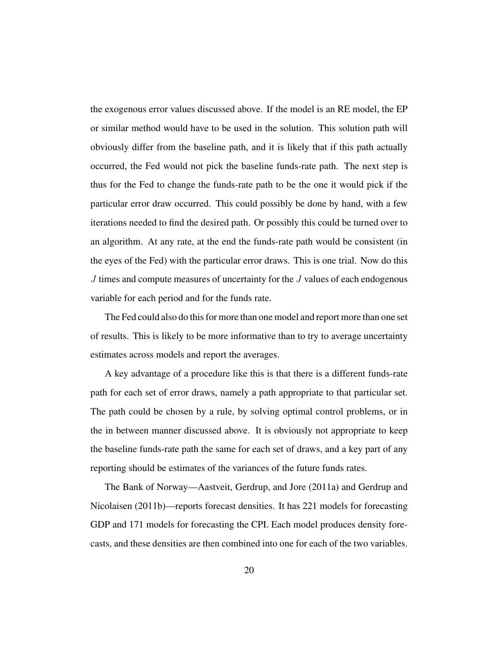the exogenous error values discussed above. If the model is an RE model, the EP or similar method would have to be used in the solution. This solution path will obviously differ from the baseline path, and it is likely that if this path actually occurred, the Fed would not pick the baseline funds-rate path. The next step is thus for the Fed to change the funds-rate path to be the one it would pick if the particular error draw occurred. This could possibly be done by hand, with a few iterations needed to find the desired path. Or possibly this could be turned over to an algorithm. At any rate, at the end the funds-rate path would be consistent (in the eyes of the Fed) with the particular error draws. This is one trial. Now do this  $J$  times and compute measures of uncertainty for the  $J$  values of each endogenous variable for each period and for the funds rate.

The Fed could also do this for more than one model and report more than one set of results. This is likely to be more informative than to try to average uncertainty estimates across models and report the averages.

A key advantage of a procedure like this is that there is a different funds-rate path for each set of error draws, namely a path appropriate to that particular set. The path could be chosen by a rule, by solving optimal control problems, or in the in between manner discussed above. It is obviously not appropriate to keep the baseline funds-rate path the same for each set of draws, and a key part of any reporting should be estimates of the variances of the future funds rates.

The Bank of Norway—Aastveit, Gerdrup, and Jore (2011a) and Gerdrup and Nicolaisen (2011b)—reports forecast densities. It has 221 models for forecasting GDP and 171 models for forecasting the CPI. Each model produces density forecasts, and these densities are then combined into one for each of the two variables.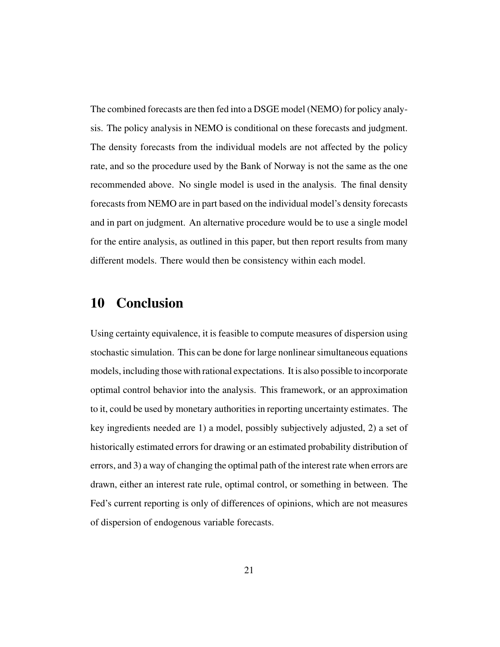The combined forecasts are then fed into a DSGE model (NEMO) for policy analysis. The policy analysis in NEMO is conditional on these forecasts and judgment. The density forecasts from the individual models are not affected by the policy rate, and so the procedure used by the Bank of Norway is not the same as the one recommended above. No single model is used in the analysis. The final density forecasts from NEMO are in part based on the individual model's density forecasts and in part on judgment. An alternative procedure would be to use a single model for the entire analysis, as outlined in this paper, but then report results from many different models. There would then be consistency within each model.

# 10 Conclusion

Using certainty equivalence, it is feasible to compute measures of dispersion using stochastic simulation. This can be done for large nonlinear simultaneous equations models, including those with rational expectations. It is also possible to incorporate optimal control behavior into the analysis. This framework, or an approximation to it, could be used by monetary authorities in reporting uncertainty estimates. The key ingredients needed are 1) a model, possibly subjectively adjusted, 2) a set of historically estimated errors for drawing or an estimated probability distribution of errors, and 3) a way of changing the optimal path of the interest rate when errors are drawn, either an interest rate rule, optimal control, or something in between. The Fed's current reporting is only of differences of opinions, which are not measures of dispersion of endogenous variable forecasts.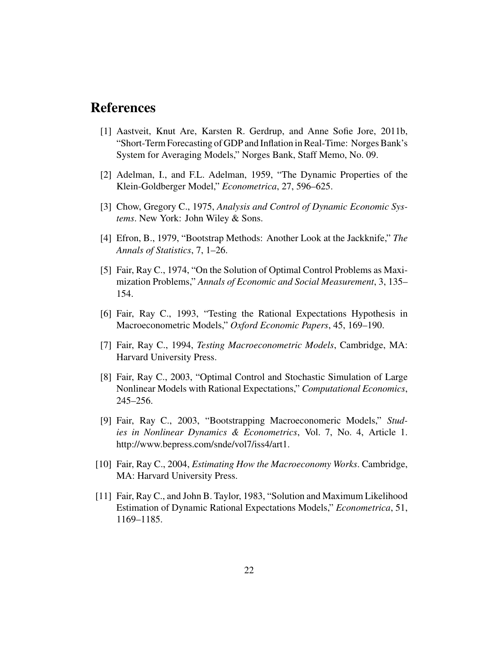# References

- [1] Aastveit, Knut Are, Karsten R. Gerdrup, and Anne Sofie Jore, 2011b, "Short-Term Forecasting of GDP and Inflation in Real-Time: Norges Bank's System for Averaging Models," Norges Bank, Staff Memo, No. 09.
- [2] Adelman, I., and F.L. Adelman, 1959, "The Dynamic Properties of the Klein-Goldberger Model," *Econometrica*, 27, 596–625.
- [3] Chow, Gregory C., 1975, *Analysis and Control of Dynamic Economic Systems*. New York: John Wiley & Sons.
- [4] Efron, B., 1979, "Bootstrap Methods: Another Look at the Jackknife," *The Annals of Statistics*, 7, 1–26.
- [5] Fair, Ray C., 1974, "On the Solution of Optimal Control Problems as Maximization Problems," *Annals of Economic and Social Measurement*, 3, 135– 154.
- [6] Fair, Ray C., 1993, "Testing the Rational Expectations Hypothesis in Macroeconometric Models," *Oxford Economic Papers*, 45, 169–190.
- [7] Fair, Ray C., 1994, *Testing Macroeconometric Models*, Cambridge, MA: Harvard University Press.
- [8] Fair, Ray C., 2003, "Optimal Control and Stochastic Simulation of Large Nonlinear Models with Rational Expectations," *Computational Economics*, 245–256.
- [9] Fair, Ray C., 2003, "Bootstrapping Macroeconomeric Models," *Studies in Nonlinear Dynamics & Econometrics*, Vol. 7, No. 4, Article 1. http://www.bepress.com/snde/vol7/iss4/art1.
- [10] Fair, Ray C., 2004, *Estimating How the Macroeconomy Works*. Cambridge, MA: Harvard University Press.
- [11] Fair, Ray C., and John B. Taylor, 1983, "Solution and Maximum Likelihood Estimation of Dynamic Rational Expectations Models," *Econometrica*, 51, 1169–1185.